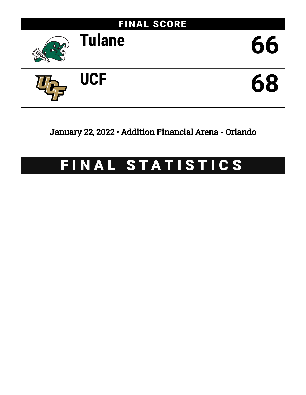

## January 22, 2022 • Addition Financial Arena - Orlando

# FINAL STATISTICS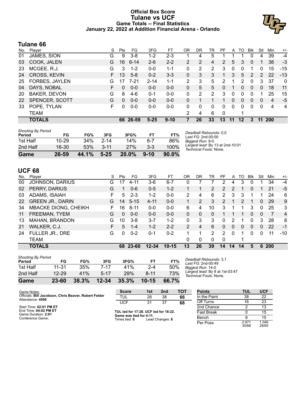#### **Official Box Score Tulane vs UCF Game Totals -- Final Statistics January 22, 2022 at Addition Financial Arena - Orlando**



#### **Tulane 66**

| No. | Player                | S  | <b>Pts</b> | FG       | 3FG      | FТ       | 0R             | DR | TR | PF       | A  | TO | Blk          | Stl | Min        | $+/-$ |
|-----|-----------------------|----|------------|----------|----------|----------|----------------|----|----|----------|----|----|--------------|-----|------------|-------|
| 01  | JAMES, SION           | G  | 9          | $3 - 8$  | $1 - 2$  | $2 - 3$  |                | 4  | 5  |          |    |    |              | 4   | 39         | -4    |
| 03  | COOK, JALEN           | G  | 16         | $6 - 14$ | $2-6$    | $2 - 2$  | $\overline{2}$ | 2  | 4  | 2        | 5  | 3  | 0            |     | 38         | -3    |
| 23  | MCGEE, R.J.           | G  | 3          | $1 - 2$  | $0 - 0$  | $1 - 1$  | 0              | 2  | 2  | 3        | 0  | 0  |              | 0   | 15         | $-15$ |
| 24  | CROSS, KEVIN          | F. | 13         | $5 - 8$  | $0 - 2$  | $3 - 3$  | 0              | 3  | 3  | 1.       | 3  | 5  | 2            | 2   | 22         | $-13$ |
| 25  | <b>FORBES, JAYLEN</b> | G  | 17         | $7 - 21$ | $2 - 14$ | $1 - 1$  | 2              | 3  | 5  | 2        |    | 2  | $\Omega$     | 3   | 37         | 0     |
| 04  | DAYS, NOBAL           | F  | $\Omega$   | $0 - 0$  | $0 - 0$  | $0 - 0$  | 0              | 5  | 5. | 0        |    | 0  | $\Omega$     | 0   | 18         | 11    |
| 20  | <b>BAKER, DEVON</b>   | G  | 8          | $4-6$    | $0 - 1$  | $0-0$    | 0              | 2  | 2  | 3        | 0  | 0  | 0            | 1   | 25         | 15    |
| 22  | SPENCER, SCOTT        | G  | 0          | $0 - 0$  | $0 - 0$  | $0 - 0$  | 0              |    |    |          | 0  | 0  | $\mathbf{0}$ | 0   | 4          | -5    |
| 33  | POPE, TYLAN           | F. | 0          | $0-0$    | $0 - 0$  | $0 - 0$  | 0              | 0  | 0  | $\Omega$ | 0  | 0  | $\Omega$     | 0   | 4          | 4     |
|     | <b>TEAM</b>           |    |            |          |          |          | 2              | 4  | 6  | 0        |    |    |              |     |            |       |
|     | <b>TOTALS</b>         |    |            | 66 26-59 | $5 - 25$ | $9 - 10$ |                | 26 | 33 | 13       | 11 | 12 | 3            | 11  | <b>200</b> |       |

| <b>Shooting By Period</b><br>Period | FG        | FG%   | 3FG      | 3FG%     | FТ       | FT%      |
|-------------------------------------|-----------|-------|----------|----------|----------|----------|
| 1st Half                            | $10 - 29$ | 34%   | $2 - 14$ | 14%      | հ-7      | 86%      |
| 2nd Half                            | $16 - 30$ | 53%   | $3 - 11$ | 27%      | $3-3$    | 100%     |
| Game                                | 26-59     | 44.1% | $5 - 25$ | $20.0\%$ | $9 - 10$ | $90.0\%$ |

*Deadball Rebounds:* 0,0 *Last FG:* 2nd-00:00 *Biggest Run:* 9-0 *Largest lead:* By 13 at 2nd-10:01 *Technical Fouls:* None.

#### **UCF 68**

| No. | Plaver                      | S  | Pts      | FG.      | 3FG       | FT.       | OR | DR | TR            | PF            | A        | TO | <b>B</b> lk | Stl      | Min        | $+/-$          |
|-----|-----------------------------|----|----------|----------|-----------|-----------|----|----|---------------|---------------|----------|----|-------------|----------|------------|----------------|
| 00  | JOHNSON, DARIUS             | G  | 17       | 4-11     | $3-6$     | $6 - 7$   |    |    |               |               | 4        | 3  | 0           |          | 34         | $-4$           |
| 02  | PERRY, DARIUS               | G  | 1.       | $0 - 6$  | $0 - 5$   | $1 - 2$   |    |    | 2             | $\mathcal{P}$ | 2        |    | 0           |          | 21         | $-5$           |
| 03  | ADAMS, ISAIAH               | F. | 5        | $2 - 3$  | $1 - 2$   | $0 - 0$   | 2  | 4  | 6             | 2             | 3        | 3  |             |          | 24         | 6              |
| 22  | <b>GREEN JR., DARIN</b>     | G  | 14       | $5 - 15$ | $4 - 11$  | $0 - 0$   |    | 2  | 3             | $\mathcal{P}$ | 1        | 2  |             | $\Omega$ | 29         | 9              |
| 34  | <b>MBACKE DIONG, CHEIKH</b> | F  | 16       | $8 - 11$ | $0 - 0$   | $0-0$     | 6  | 4  | 10            | 3             | 1        |    | 3           | $\Omega$ | 25         | 3              |
| 11  | FREEMAN, TYEM               | G  | $\Omega$ | $0 - 0$  | $0 - 0$   | $0 - 0$   | 0  | 0  | 0             |               |          |    | 0           | 0        | 7          | $\overline{4}$ |
| 13  | MAHAN, BRANDON              | G  | 10       | $3-8$    | $3 - 7$   | $1 - 2$   | 0  | 3  | 3             | $\Omega$      | 2        |    | 0           | 3        | 28         | 8              |
| 21  | WALKER, C.J.                | F. | 5        | $1 - 4$  | $1 - 2$   | $2 - 2$   | 2  | 4  | 6             | 0             | 0        | 0  | $\Omega$    | 0        | 22         | $-1$           |
| 24  | FULLER JR., DRE             | G  | 0        | $0 - 2$  | $0 - 1$   | $0 - 2$   |    |    | $\mathcal{P}$ | 2             | $\Omega$ |    | 0           | $\Omega$ | 11         | $-10$          |
|     | <b>TEAM</b>                 |    |          |          |           |           | 0  | 0  | $\Omega$      | $\Omega$      |          |    |             |          |            |                |
|     | <b>TOTALS</b>               |    | 68       | 23-60    | $12 - 34$ | $10 - 15$ | 13 | 26 | 39            | 14            | 14       | 14 | 5           | 6        | <b>200</b> |                |

| Game                                | 23-60     | 38.3% | $12 - 34$ | 35.3% | $10 - 15$ | 66.7% |
|-------------------------------------|-----------|-------|-----------|-------|-----------|-------|
| 2nd Half                            | $12 - 29$ | 41%   | $5-17$    | 29%   | $8 - 11$  | 73%   |
| 1st Half                            | 11-31     | 35%   | 7-17      | 41%   | $2 - 4$   | 50%   |
| <b>Shooting By Period</b><br>Period | FG        | FG%   | 3FG       | 3FG%  | FТ        | FT%   |

*Deadball Rebounds:* 3,1 *Last FG:* 2nd-00:49 *Biggest Run:* 14-0 *Largest lead:* By 8 at 1st-03:47 *Technical Fouls:* None.

Per Poss

0.971<br>30/68

1.046 28/65

| Game Notes:                                           | <b>Score</b>                                    | 1st | 2nd             | тот | <b>Points</b>     | TUL | <b>UCF</b> |
|-------------------------------------------------------|-------------------------------------------------|-----|-----------------|-----|-------------------|-----|------------|
| Officials: Bill Jacobson, Chris Beaver, Robert Felder | <b>TUL</b>                                      | 28  | 38              | 66  | In the Paint      | 38  | 22         |
| Attendance: 4508                                      | <b>UCF</b>                                      | 31  | 37              | 68  | Off Turns         | 16  | 23         |
| Start Time: 02:01 PM ET                               |                                                 |     |                 |     | 2nd Chance        |     | 13         |
| End Time: 04:02 PM ET<br>Game Duration: 2:01          | TUL led for 17:28. UCF led for 18:22.           |     |                 |     | <b>Fast Break</b> |     | 15         |
| Conference Game;                                      | Game was tied for 4:11.<br>Times tied: <b>6</b> |     | Lead Changes: 8 |     | Bench             |     | 15         |
|                                                       |                                                 |     |                 |     |                   |     |            |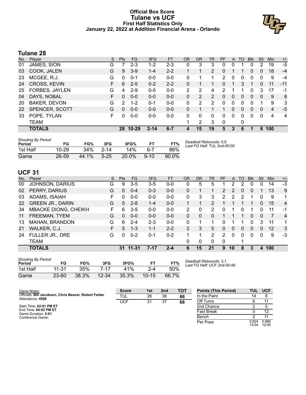#### **Official Box Score Tulane vs UCF First Half Statistics Only January 22, 2022 at Addition Financial Arena - Orlando**



### **Tulane 28**

| No. | Plaver              | S  | <b>Pts</b> | <b>FG</b> | 3FG      | <b>FT</b> | <b>OR</b> | <b>DR</b> | TR             | PF | A        | TO       | <b>B</b> lk  | Stl      | Min | $+/-$ |
|-----|---------------------|----|------------|-----------|----------|-----------|-----------|-----------|----------------|----|----------|----------|--------------|----------|-----|-------|
| 01  | JAMES, SION         | G  |            | $2 - 3$   | $1 - 2$  | $2 - 3$   | 0         | 3         | 3              | 0  | 0        |          |              | 2        | 19  | -5    |
| 03  | COOK, JALEN         | G  | 9          | $3-9$     | $1 - 4$  | $2 - 2$   |           | 1         | $\overline{2}$ | 0  |          |          | 0            | 0        | 18  | $-4$  |
| 23  | MCGEE, R.J.         | G  | $\Omega$   | $0 - 1$   | $0 - 0$  | $0 - 0$   | 0         | 1         |                | 2  | 0        | 0        | $\Omega$     | 0        | 9   | -4    |
| 24  | CROSS, KEVIN        | F. | 6          | $2 - 5$   | $0 - 2$  | $2 - 2$   | 0         |           |                | 0  |          | 3        |              | 0        | 11  | -11   |
| 25  | FORBES, JAYLEN      | G  | 4          | $2 - 9$   | $0 - 5$  | $0 - 0$   | 2         | 2         | 4              | 2  |          |          |              | 3        | 17  | -1    |
| 04  | DAYS, NOBAL         | F. | $\Omega$   | $0 - 0$   | $0 - 0$  | $0 - 0$   | 0         | 2         | $\overline{2}$ | 0  | 0        | 0        | $\mathbf{0}$ | 0        | 9   | 8     |
| 20  | <b>BAKER, DEVON</b> | G  | 2          | $1 - 2$   | $0 - 1$  | $0 - 0$   | 0         | 2         | 2              | 0  | 0        | 0        | $\Omega$     |          | 9   | 3     |
| 22  | SPENCER, SCOTT      | G  | $\Omega$   | $0 - 0$   | $0 - 0$  | $0 - 0$   | 0         |           |                |    | 0        | 0        | 0            | $\Omega$ | 4   | -5    |
| 33  | POPE, TYLAN         | F. | 0          | $0-0$     | $0 - 0$  | $0 - 0$   | 0         | 0         | 0              | 0  | $\Omega$ | $\Omega$ | $\Omega$     | $\Omega$ | 4   | 4     |
|     | <b>TEAM</b>         |    |            |           |          |           |           | 2         | 3              | 0  |          | 0        |              |          |     |       |
|     | <b>TOTALS</b>       |    | 28         | $10 - 29$ | $2 - 14$ | $6 - 7$   |           | 15        | 19             | 5  | 3        | 6        |              | 6        | 100 |       |

| <b>Shooting By Period</b><br>Period | FG        | FG%   | 3FG      | 3FG%     | FT.      | FT%   | Deadball Rebounds: 0,0<br>Last FG Half: TUL 2nd-00:00 |
|-------------------------------------|-----------|-------|----------|----------|----------|-------|-------------------------------------------------------|
| 1st Half                            | $10 - 29$ | 34%   | $2 - 14$ | 14%      | հ-7      | 86%   |                                                       |
| Game                                | 26-59     | 44.1% | $5 - 25$ | $20.0\%$ | $9 - 10$ | 90.0% |                                                       |

#### **UCF 31**

| No. | Plaver                      | S  | <b>Pts</b> | FG      | 3FG      | <b>FT</b> | <b>OR</b>      | <b>DR</b> | TR            | PF            | A        | TO | <b>Blk</b> | Stl | Min | $+/-$          |
|-----|-----------------------------|----|------------|---------|----------|-----------|----------------|-----------|---------------|---------------|----------|----|------------|-----|-----|----------------|
| 00  | <b>JOHNSON, DARIUS</b>      | G  | 9          | $3 - 5$ | $3-5$    | $0 - 0$   | 0              | 5         | 5             |               | 2        | 2  | 0          | 0   | 14  | -3             |
| 02  | PERRY, DARIUS               | G  | 0          | $0 - 4$ | $0 - 3$  | $0 - 0$   | $\Omega$       |           |               | $\mathcal{P}$ | 2        | 0  | $\Omega$   |     | 13  | 9              |
| 03  | ADAMS, ISAIAH               | F  | 0          | $0 - 0$ | $0 - 0$  | $0-0$     | 0              | 3         | 3             | 2             | 2        | 2  |            | 0   | 9   | 1              |
| 22  | <b>GREEN JR., DARIN</b>     | G  | 5          | $2 - 8$ | $1 - 4$  | $0 - 0$   |                |           | 2             |               |          |    |            | 0   | 15  | 4              |
| 34  | <b>MBACKE DIONG, CHEIKH</b> | F  | 6          | $3 - 5$ | $0 - 0$  | $0-0$     | 2              | 0         | 2             |               |          | 0  |            | O   | 11  | $-1$           |
| 11  | FREEMAN, TYEM               | G  | 0          | $0 - 0$ | $0 - 0$  | $0 - 0$   | 0              | 0         | 0             |               |          |    | $\Omega$   | 0   |     | $\overline{4}$ |
| 13  | MAHAN, BRANDON              | G  | 6          | $2 - 4$ | $2 - 3$  | $0 - 0$   | $\Omega$       |           |               | 0             |          |    | 0          | 3   | 11  | 1              |
| 21  | WALKER, C.J.                | F. | 5          | $1 - 3$ | $1 - 1$  | $2 - 2$   | $\overline{2}$ | 3         | 5             | 0             | $\Omega$ | 0  | $\Omega$   | 0   | 12  | 3              |
| 24  | FULLER JR., DRE             | G  | 0          | $0 - 2$ | $0 - 1$  | $0 - 2$   | 1              | 1         | $\mathcal{P}$ | $\mathcal{P}$ | ∩        | 0  | 0          | 0   | 9   | $-3$           |
|     | TEAM                        |    |            |         |          |           | $\Omega$       | 0         | $\Omega$      | 0             |          |    |            |     |     |                |
|     | <b>TOTALS</b>               |    | 31         | 11-31   | $7 - 17$ | $2 - 4$   | 6              | 15        | 21            | 9             | 10       | 8  | 3          | 4   | 100 |                |

| <b>Shooting By Period</b><br>Period | FG        | FG%   | 3FG       | 3FG%  | FТ        | FT%   |
|-------------------------------------|-----------|-------|-----------|-------|-----------|-------|
| 1st Half                            | $11 - 31$ | 35%   | 7-17      | 41%   | $2 - 4$   | 50%   |
| Game                                | $23 - 60$ | 38.3% | $12 - 34$ | 35.3% | $10 - 15$ | 66.7% |

*Deadball Rebounds:* 3,1 *Last FG Half:* UCF 2nd-00:49

| Game Notes:                                                               | <b>Score</b> | 1st | 2 <sub>nd</sub> | TOT | <b>Points (This Period)</b> | TUL            | <b>UCF</b>     |
|---------------------------------------------------------------------------|--------------|-----|-----------------|-----|-----------------------------|----------------|----------------|
| Officials: Bill Jacobson, Chris Beaver, Robert Felder<br>Attendance: 4508 | <b>TUL</b>   | 28  | 38              | 66  | In the Paint                | 14             |                |
|                                                                           | UCF          | 31  | 37              | 68  | Off Turns                   |                |                |
| Start Time: 02:01 PM ET                                                   |              |     |                 |     | 2nd Chance                  |                |                |
| End Time: 04:02 PM ET<br>Game Duration: 2:01                              |              |     |                 |     | Fast Break                  |                | 12             |
| Conference Game:                                                          |              |     |                 |     | Bench                       |                |                |
|                                                                           |              |     |                 |     | Per Poss                    | 0.824<br>13/34 | 0.886<br>12/35 |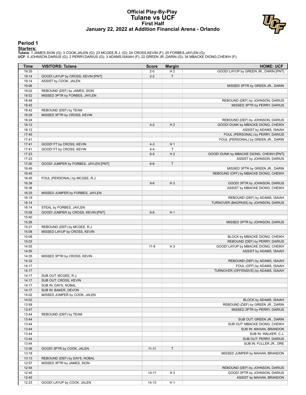#### **Official Play-By-Play Tulane vs UCF First Half January 22, 2022 at Addition Financial Arena - Orlando**



#### **Period 1**

**Starters:**<br>Tulane: 1 JAMES,SION (G); 3 COOK,JALEN (G); 23 MCGEE,R.J. (G); 24 CROSS,KEVIN (F); 25 FORBES,JAYLEN (G);<br>UCF: 0 JOHNSON,DARIUS (G); 2 PERRY,DARIUS (G); 3 ADAMS,ÌSAIAH (F); 22 GREEN JR.,DARIN (G); 34 MBACKE DION

| <b>Time</b>    | <b>VISITORS: Tulane</b>              | <b>Score</b> | <b>Margin</b>  | <b>HOME: UCF</b>                                                        |
|----------------|--------------------------------------|--------------|----------------|-------------------------------------------------------------------------|
| 19:35          |                                      | $2 - 0$      | H <sub>2</sub> | GOOD! LAYUP by GREEN JR., DARIN [PNT]                                   |
| 19:14          | GOOD! LAYUP by CROSS, KEVIN [PNT]    | $2 - 2$      | $\top$         |                                                                         |
| 19:14          | ASSIST by COOK, JALEN                |              |                |                                                                         |
| 19:06          |                                      |              |                | MISSED 3PTR by GREEN JR., DARIN                                         |
| 19:02          | REBOUND (DEF) by JAMES, SION         |              |                |                                                                         |
| 18:52          | MISSED 3PTR by FORBES, JAYLEN        |              |                |                                                                         |
| 18:48          |                                      |              |                | REBOUND (DEF) by JOHNSON, DARIUS                                        |
| 18:45          |                                      |              |                | MISSED 3PTR by PERRY, DARIUS                                            |
| 18:42          | REBOUND (DEF) by TEAM                |              |                |                                                                         |
| 18:29          | MISSED 3PTR by CROSS, KEVIN          |              |                |                                                                         |
| 18:24          |                                      |              |                | REBOUND (DEF) by JOHNSON, DARIUS                                        |
| 18:12          |                                      | $4 - 2$      | H <sub>2</sub> | GOOD! DUNK by MBACKE DIONG, CHEIKH                                      |
| 18:12          |                                      |              |                | ASSIST by ADAMS, ISAIAH                                                 |
| 17:45<br>17:41 |                                      |              |                | FOUL (PERSONAL) by PERRY, DARIUS<br>FOUL (PERSONAL) by GREEN JR., DARIN |
| 17:41          | GOOD! FT by CROSS, KEVIN             | $4 - 3$      | H <sub>1</sub> |                                                                         |
| 17:41          | GOOD! FT by CROSS, KEVIN             | $4 - 4$      | $\top$         |                                                                         |
| 17:23          |                                      | $6 - 4$      | H <sub>2</sub> | GOOD! DUNK by MBACKE DIONG, CHEIKH [PNT]                                |
| 17:23          |                                      |              |                | ASSIST by JOHNSON, DARIUS                                               |
| 17:00          | GOOD! JUMPER by FORBES, JAYLEN [PNT] | $6-6$        | $\mathsf T$    |                                                                         |
| 16:49          |                                      |              |                | MISSED 3PTR by GREEN JR., DARIN                                         |
| 16:45          |                                      |              |                | REBOUND (OFF) by MBACKE DIONG, CHEIKH                                   |
| 16:45          | FOUL (PERSONAL) by MCGEE, R.J.       |              |                |                                                                         |
| 16:38          |                                      | $9-6$        | $H_3$          | GOOD! 3PTR by JOHNSON, DARIUS                                           |
| 16:38          |                                      |              |                | ASSIST by MBACKE DIONG, CHEIKH                                          |
| 16:25          | MISSED JUMPER by FORBES, JAYLEN      |              |                |                                                                         |
| 16:19          |                                      |              |                | REBOUND (DEF) by ADAMS, ISAIAH                                          |
| 16:14          |                                      |              |                | TURNOVER (BADPASS) by JOHNSON, DARIUS                                   |
| 16:14          | STEAL by FORBES, JAYLEN              |              |                |                                                                         |
| 15:58          | GOOD! JUMPER by CROSS, KEVIN [PNT]   | $9 - 8$      | H <sub>1</sub> |                                                                         |
| 15:40          |                                      |              |                |                                                                         |
| 15:26          |                                      |              |                | MISSED 3PTR by JOHNSON, DARIUS                                          |
| 15:21          | REBOUND (DEF) by MCGEE, R.J.         |              |                |                                                                         |
| 15:08          | MISSED LAYUP by CROSS, KEVIN         |              |                |                                                                         |
| 15:08          |                                      |              |                | BLOCK by MBACKE DIONG, CHEIKH                                           |
| 15:03          |                                      |              |                | REBOUND (DEF) by PERRY, DARIUS                                          |
| 14:55          |                                      | $11 - 8$     | H <sub>3</sub> | GOOD! LAYUP by MBACKE DIONG, CHEIKH                                     |
| 14:55          |                                      |              |                | ASSIST by ADAMS, ISAIAH                                                 |
| 14:35          | MISSED 3PTR by CROSS, KEVIN          |              |                |                                                                         |
| 14:32          |                                      |              |                | REBOUND (DEF) by ADAMS, ISAIAH                                          |
| 14:17          |                                      |              |                | FOUL (OFF) by ADAMS, ISAIAH                                             |
| 14:17          |                                      |              |                | TURNOVER (OFFENSIVE) by ADAMS, ISAIAH                                   |
| 14:17          | SUB OUT: MCGEE, R.J.                 |              |                |                                                                         |
| 14:17          | SUB OUT: CROSS, KEVIN                |              |                |                                                                         |
| 14:17          | SUB IN: DAYS, NOBAL                  |              |                |                                                                         |
| 14:17          | SUB IN: BAKER, DEVON                 |              |                |                                                                         |
| 14:02          | MISSED JUMPER by COOK, JALEN         |              |                |                                                                         |
| 14:02          |                                      |              |                | BLOCK by ADAMS, ISAIAH                                                  |
| 13:58          |                                      |              |                | REBOUND (DEF) by GREEN JR., DARIN                                       |
| 13:47          |                                      |              |                | MISSED 3PTR by PERRY, DARIUS                                            |
| 13:44          | REBOUND (DEF) by TEAM                |              |                |                                                                         |
| 13:44<br>13:44 |                                      |              |                | SUB OUT: GREEN JR., DARIN                                               |
| 13:44          |                                      |              |                | SUB OUT: MBACKE DIONG, CHEIKH<br>SUB IN: MAHAN, BRANDON                 |
| 13:44          |                                      |              |                | SUB IN: WALKER, C.J.                                                    |
| 13:44          |                                      |              |                | SUB OUT: PERRY, DARIUS                                                  |
| 13:44          |                                      |              |                | SUB IN: FULLER JR., DRE                                                 |
| 13:36          | GOOD! 3PTR by COOK, JALEN            | $11 - 11$    | $\mathsf{T}$   |                                                                         |
| 13:18          |                                      |              |                | MISSED JUMPER by MAHAN, BRANDON                                         |
| 13:13          | REBOUND (DEF) by DAYS, NOBAL         |              |                |                                                                         |
| 12:57          | MISSED 3PTR by JAMES, SION           |              |                |                                                                         |
| 12:54          |                                      |              |                | REBOUND (DEF) by JOHNSON, DARIUS                                        |
| 12:45          |                                      | $14 - 11$    | H <sub>3</sub> | GOOD! 3PTR by JOHNSON, DARIUS                                           |
| 12:45          |                                      |              |                | ASSIST by MAHAN, BRANDON                                                |
| 12:23          | GOOD! LAYUP by COOK, JALEN           | $14-13$      | H <sub>1</sub> |                                                                         |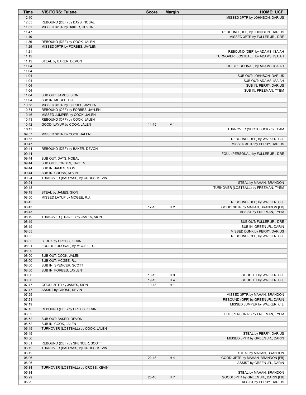| <b>Time</b>    | <b>VISITORS: Tulane</b>             | <b>Score</b> | <b>Margin</b>  | <b>HOME: UCF</b>                                         |
|----------------|-------------------------------------|--------------|----------------|----------------------------------------------------------|
| 12:10          |                                     |              |                | MISSED 3PTR by JOHNSON, DARIUS                           |
| 12:05          | REBOUND (DEF) by DAYS, NOBAL        |              |                |                                                          |
| 11:51          | MISSED 3PTR by BAKER, DEVON         |              |                |                                                          |
| 11:47          |                                     |              |                | REBOUND (DEF) by JOHNSON, DARIUS                         |
| 11:40          |                                     |              |                | MISSED 3PTR by FULLER JR., DRE                           |
| 11:36          | REBOUND (DEF) by COOK, JALEN        |              |                |                                                          |
| 11:25          | MISSED 3PTR by FORBES, JAYLEN       |              |                |                                                          |
| 11:21          |                                     |              |                | REBOUND (DEF) by ADAMS, ISAIAH                           |
| 11:15          |                                     |              |                | TURNOVER (LOSTBALL) by ADAMS, ISAIAH                     |
| 11:15          | STEAL by BAKER, DEVON               |              |                |                                                          |
| 11:04          |                                     |              |                | FOUL (PERSONAL) by ADAMS, ISAIAH                         |
| 11:04          |                                     |              |                |                                                          |
| 11:04          |                                     |              |                | SUB OUT: JOHNSON, DARIUS                                 |
| 11:04<br>11:04 |                                     |              |                | SUB OUT: ADAMS, ISAIAH                                   |
| 11:04          |                                     |              |                | SUB IN: PERRY, DARIUS                                    |
| 11:04          | SUB OUT: JAMES, SION                |              |                | SUB IN: FREEMAN, TYEM                                    |
| 11:04          | SUB IN: MCGEE, R.J.                 |              |                |                                                          |
| 10:58          | MISSED 3PTR by FORBES, JAYLEN       |              |                |                                                          |
| 10:54          | REBOUND (OFF) by FORBES, JAYLEN     |              |                |                                                          |
| 10:46          | MISSED JUMPER by COOK, JALEN        |              |                |                                                          |
| 10:43          | REBOUND (OFF) by COOK, JALEN        |              |                |                                                          |
| 10:42          | GOOD! LAYUP by COOK, JALEN          | $14 - 15$    | V <sub>1</sub> |                                                          |
| 10:11          |                                     |              |                | TURNOVER (SHOTCLOCK) by TEAM                             |
| 09:57          | MISSED 3PTR by COOK, JALEN          |              |                |                                                          |
| 09:53          |                                     |              |                | REBOUND (DEF) by WALKER, C.J.                            |
| 09:47          |                                     |              |                | MISSED 3PTR by PERRY, DARIUS                             |
| 09:44          | REBOUND (DEF) by BAKER, DEVON       |              |                |                                                          |
| 09:44          |                                     |              |                | FOUL (PERSONAL) by FULLER JR., DRE                       |
| 09:44          | SUB OUT: DAYS, NOBAL                |              |                |                                                          |
| 09:44          | SUB OUT: FORBES, JAYLEN             |              |                |                                                          |
| 09:44          | SUB IN: JAMES, SION                 |              |                |                                                          |
| 09:44          | SUB IN: CROSS, KEVIN                |              |                |                                                          |
| 09:24          | TURNOVER (BADPASS) by CROSS, KEVIN  |              |                |                                                          |
| 09:24          |                                     |              |                | STEAL by MAHAN, BRANDON                                  |
| 09:18          |                                     |              |                | TURNOVER (LOSTBALL) by FREEMAN, TYEM                     |
| 09:18          | STEAL by JAMES, SION                |              |                |                                                          |
| 08:50          | MISSED LAYUP by MCGEE, R.J.         |              |                |                                                          |
| 08:45          |                                     |              |                | REBOUND (DEF) by WALKER, C.J.                            |
| 08:43          |                                     | $17 - 15$    | H <sub>2</sub> | GOOD! 3PTR by MAHAN, BRANDON [FB]                        |
| 08:43          |                                     |              |                | ASSIST by FREEMAN, TYEM                                  |
| 08:19          | TURNOVER (TRAVEL) by JAMES, SION    |              |                |                                                          |
| 08:19          |                                     |              |                | SUB OUT: FULLER JR., DRE                                 |
| 08:19<br>08:05 |                                     |              |                | SUB IN: GREEN JR., DARIN<br>MISSED DUNK by PERRY, DARIUS |
| 08:05          |                                     |              |                | REBOUND (OFF) by WALKER, C.J.                            |
| 08:05          | BLOCK by CROSS, KEVIN               |              |                |                                                          |
| 08:01          | FOUL (PERSONAL) by MCGEE, R.J.      |              |                |                                                          |
| 08:00          |                                     |              |                |                                                          |
| 08:00          | SUB OUT: COOK, JALEN                |              |                |                                                          |
| 08:00          | SUB OUT: MCGEE, R.J.                |              |                |                                                          |
| 08:00          | SUB IN: SPENCER, SCOTT              |              |                |                                                          |
| 08:00          | SUB IN: FORBES, JAYLEN              |              |                |                                                          |
| 08:00          |                                     | 18-15        | H <sub>3</sub> | GOOD! FT by WALKER, C.J.                                 |
| 08:00          |                                     | 19-15        | H <sub>4</sub> | GOOD! FT by WALKER, C.J.                                 |
| 07:47          | GOOD! 3PTR by JAMES, SION           | 19-18        | H <sub>1</sub> |                                                          |
| 07:47          | ASSIST by CROSS, KEVIN              |              |                |                                                          |
| 07:25          |                                     |              |                | MISSED 3PTR by MAHAN, BRANDON                            |
| 07:21          |                                     |              |                | REBOUND (OFF) by GREEN JR., DARIN                        |
| 07:19          |                                     |              |                | MISSED JUMPER by WALKER, C.J.                            |
| 07:15          | REBOUND (DEF) by CROSS, KEVIN       |              |                |                                                          |
| 06:52          |                                     |              |                | FOUL (PERSONAL) by FREEMAN, TYEM                         |
| 06:52          | SUB OUT: BAKER, DEVON               |              |                |                                                          |
| 06:52          | SUB IN: COOK, JALEN                 |              |                |                                                          |
| 06:45          | TURNOVER (LOSTBALL) by COOK, JALEN  |              |                |                                                          |
| 06:45          |                                     |              |                | STEAL by PERRY, DARIUS                                   |
| 06:36          |                                     |              |                | MISSED 3PTR by GREEN JR., DARIN                          |
| 06:31          | REBOUND (DEF) by SPENCER, SCOTT     |              |                |                                                          |
| 06:12          | TURNOVER (BADPASS) by CROSS, KEVIN  |              |                |                                                          |
| 06:12          |                                     |              |                | STEAL by MAHAN, BRANDON                                  |
| 06:06          |                                     | $22 - 18$    | H4             | GOOD! 3PTR by MAHAN, BRANDON [FB]                        |
| 06:06<br>05:34 |                                     |              |                | ASSIST by GREEN JR., DARIN                               |
| 05:34          | TURNOVER (LOSTBALL) by CROSS, KEVIN |              |                | STEAL by MAHAN, BRANDON                                  |
| 05:29          |                                     | $25-18$      | H 7            | GOOD! 3PTR by GREEN JR., DARIN [FB]                      |
| 05:29          |                                     |              |                | ASSIST by PERRY, DARIUS                                  |
|                |                                     |              |                |                                                          |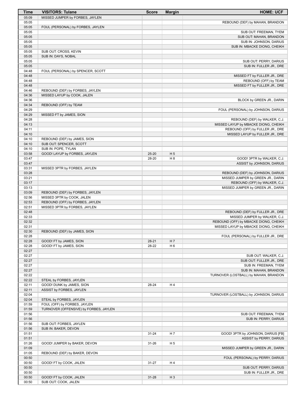| Time           | <b>VISITORS: Tulane</b>                                       | <b>Score</b> | <b>Margin</b>  | <b>HOME: UCF</b>                                                    |
|----------------|---------------------------------------------------------------|--------------|----------------|---------------------------------------------------------------------|
| 05:09          | MISSED JUMPER by FORBES, JAYLEN                               |              |                |                                                                     |
| 05:05          |                                                               |              |                | REBOUND (DEF) by MAHAN, BRANDON                                     |
| 05:05<br>05:05 | FOUL (PERSONAL) by FORBES, JAYLEN                             |              |                |                                                                     |
| 05:05          |                                                               |              |                | SUB OUT: FREEMAN, TYEM<br>SUB OUT: MAHAN, BRANDON                   |
| 05:05          |                                                               |              |                | SUB IN: JOHNSON, DARIUS                                             |
| 05:05          |                                                               |              |                | SUB IN: MBACKE DIONG, CHEIKH                                        |
| 05:05          | SUB OUT: CROSS, KEVIN                                         |              |                |                                                                     |
| 05:05          | SUB IN: DAYS, NOBAL                                           |              |                |                                                                     |
| 05:05<br>05:05 |                                                               |              |                | SUB OUT: PERRY, DARIUS<br>SUB IN: FULLER JR., DRE                   |
| 04:48          | FOUL (PERSONAL) by SPENCER, SCOTT                             |              |                |                                                                     |
| 04:48          |                                                               |              |                | MISSED FT by FULLER JR., DRE                                        |
| 04:48          |                                                               |              |                | REBOUND (OFF) by TEAM                                               |
| 04:48          |                                                               |              |                | MISSED FT by FULLER JR., DRE                                        |
| 04:46          | REBOUND (DEF) by FORBES, JAYLEN                               |              |                |                                                                     |
| 04:36<br>04:36 | MISSED LAYUP by COOK, JALEN                                   |              |                | BLOCK by GREEN JR., DARIN                                           |
| 04:34          | REBOUND (OFF) by TEAM                                         |              |                |                                                                     |
| 04:29          |                                                               |              |                | FOUL (PERSONAL) by JOHNSON, DARIUS                                  |
| 04:29          | MISSED FT by JAMES, SION                                      |              |                |                                                                     |
| 04:28          |                                                               |              |                | REBOUND (DEF) by WALKER, C.J.                                       |
| 04:13          |                                                               |              |                | MISSED LAYUP by MBACKE DIONG, CHEIKH                                |
| 04:11<br>04:10 |                                                               |              |                | REBOUND (OFF) by FULLER JR., DRE<br>MISSED LAYUP by FULLER JR., DRE |
| 04:10          | REBOUND (DEF) by JAMES, SION                                  |              |                |                                                                     |
| 04:10          | SUB OUT: SPENCER, SCOTT                                       |              |                |                                                                     |
| 04:10          | SUB IN: POPE, TYLAN                                           |              |                |                                                                     |
| 03:58          | GOOD! LAYUP by FORBES, JAYLEN                                 | 25-20        | H <sub>5</sub> |                                                                     |
| 03:47          |                                                               | 28-20        | H 8            | GOOD! 3PTR by WALKER, C.J.                                          |
| 03:47<br>03:31 | MISSED 3PTR by FORBES, JAYLEN                                 |              |                | ASSIST by JOHNSON, DARIUS                                           |
| 03:28          |                                                               |              |                | REBOUND (DEF) by JOHNSON, DARIUS                                    |
| 03:21          |                                                               |              |                | MISSED JUMPER by GREEN JR., DARIN                                   |
| 03:17          |                                                               |              |                | REBOUND (OFF) by WALKER, C.J.                                       |
| 03:13          |                                                               |              |                | MISSED JUMPER by GREEN JR., DARIN                                   |
| 03:09<br>02:56 | REBOUND (DEF) by FORBES, JAYLEN<br>MISSED 3PTR by COOK, JALEN |              |                |                                                                     |
| 02:53          | REBOUND (OFF) by FORBES, JAYLEN                               |              |                |                                                                     |
| 02:51          | MISSED 3PTR by FORBES, JAYLEN                                 |              |                |                                                                     |
| 02:48          |                                                               |              |                | REBOUND (DEF) by FULLER JR., DRE                                    |
| 02:33          |                                                               |              |                | MISSED JUMPER by WALKER, C.J.                                       |
| 02:32          |                                                               |              |                | REBOUND (OFF) by MBACKE DIONG, CHEIKH                               |
| 02:31<br>02:30 | REBOUND (DEF) by JAMES, SION                                  |              |                | MISSED LAYUP by MBACKE DIONG, CHEIKH                                |
| 02:28          |                                                               |              |                | FOUL (PERSONAL) by FULLER JR., DRE                                  |
| 02:28          | GOOD! FT by JAMES, SION                                       | 28-21        | H 7            |                                                                     |
| 02:28          | GOOD! FT by JAMES, SION                                       | 28-22        | H <sub>6</sub> |                                                                     |
| 02:27          |                                                               |              |                |                                                                     |
| 02:27<br>02:27 |                                                               |              |                | SUB OUT: WALKER, C.J.                                               |
| 02:27          |                                                               |              |                | SUB OUT: FULLER JR., DRE<br>SUB IN: FREEMAN, TYEM                   |
| 02:27          |                                                               |              |                | SUB IN: MAHAN, BRANDON                                              |
| 02:22          |                                                               |              |                | TURNOVER (LOSTBALL) by MAHAN, BRANDON                               |
| 02:22          | STEAL by FORBES, JAYLEN                                       |              |                |                                                                     |
| 02:11          | GOOD! DUNK by JAMES, SION                                     | 28-24        | H 4            |                                                                     |
| 02:11<br>02:04 | ASSIST by FORBES, JAYLEN                                      |              |                | TURNOVER (LOSTBALL) by JOHNSON, DARIUS                              |
| 02:04          | STEAL by FORBES, JAYLEN                                       |              |                |                                                                     |
| 01:59          | FOUL (OFF) by FORBES, JAYLEN                                  |              |                |                                                                     |
| 01:59          | TURNOVER (OFFENSIVE) by FORBES, JAYLEN                        |              |                |                                                                     |
| 01:56          |                                                               |              |                | SUB OUT: FREEMAN, TYEM                                              |
| 01:56          |                                                               |              |                | SUB IN: PERRY, DARIUS                                               |
| 01:56<br>01:56 | SUB OUT: FORBES, JAYLEN<br>SUB IN: BAKER, DEVON               |              |                |                                                                     |
| 01:51          |                                                               | $31 - 24$    | H 7            | GOOD! 3PTR by JOHNSON, DARIUS [FB]                                  |
| 01:51          |                                                               |              |                | ASSIST by PERRY, DARIUS                                             |
| 01:26          | GOOD! JUMPER by BAKER, DEVON                                  | 31-26        | H <sub>5</sub> |                                                                     |
| 01:09          |                                                               |              |                | MISSED JUMPER by GREEN JR., DARIN                                   |
| 01:05          | REBOUND (DEF) by BAKER, DEVON                                 |              |                |                                                                     |
| 00:50<br>00:50 | GOOD! FT by COOK, JALEN                                       | $31 - 27$    | H 4            | FOUL (PERSONAL) by PERRY, DARIUS                                    |
| 00:50          |                                                               |              |                | SUB OUT: PERRY, DARIUS                                              |
| 00:50          |                                                               |              |                | SUB IN: FULLER JR., DRE                                             |
| 00:50          | GOOD! FT by COOK, JALEN                                       | $31 - 28$    | $H_3$          |                                                                     |
| 00:50          | SUB OUT: COOK, JALEN                                          |              |                |                                                                     |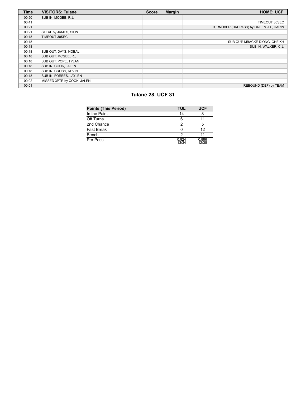| <b>Time</b> | <b>VISITORS: Tulane</b>    | <b>Score</b> | <b>Margin</b> | <b>HOME: UCF</b>                       |
|-------------|----------------------------|--------------|---------------|----------------------------------------|
| 00:50       | SUB IN: MCGEE, R.J.        |              |               |                                        |
| 00:41       |                            |              |               | TIMEOUT 30SEC                          |
| 00:21       |                            |              |               | TURNOVER (BADPASS) by GREEN JR., DARIN |
| 00:21       | STEAL by JAMES, SION       |              |               |                                        |
| 00:18       | TIMEOUT 30SEC              |              |               |                                        |
| 00:18       |                            |              |               | SUB OUT: MBACKE DIONG, CHEIKH          |
| 00:18       |                            |              |               | SUB IN: WALKER, C.J.                   |
| 00:18       | SUB OUT: DAYS, NOBAL       |              |               |                                        |
| 00:18       | SUB OUT: MCGEE, R.J.       |              |               |                                        |
| 00:18       | SUB OUT: POPE, TYLAN       |              |               |                                        |
| 00:18       | SUB IN: COOK, JALEN        |              |               |                                        |
| 00:18       | SUB IN: CROSS, KEVIN       |              |               |                                        |
| 00:18       | SUB IN: FORBES, JAYLEN     |              |               |                                        |
| 00:02       | MISSED 3PTR by COOK, JALEN |              |               |                                        |
| 00:01       |                            |              |               | REBOUND (DEF) by TEAM                  |

## **Tulane 28, UCF 31**

| <b>Points (This Period)</b> | TUL            | <b>UCF</b>     |
|-----------------------------|----------------|----------------|
| In the Paint                | 14             |                |
| Off Turns                   | 6              |                |
| 2nd Chance                  | っ              | 5              |
| <b>Fast Break</b>           |                | 12             |
| Bench                       | າ              |                |
| Per Poss                    | 0.824<br>13/34 | 0.886<br>12/35 |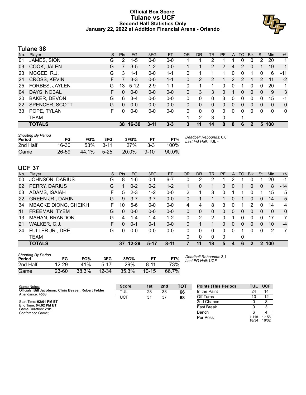#### **Official Box Score Tulane vs UCF Second Half Statistics Only January 22, 2022 at Addition Financial Arena - Orlando**



#### **Tulane 38**

| No. | Player                | S  | <b>Pts</b> | FG.      | 3FG      | <b>FT</b> | <b>OR</b> | <b>DR</b> | TR       | PF | A              | TO            | <b>Blk</b>   | Stl           | Min          | $+/-$        |
|-----|-----------------------|----|------------|----------|----------|-----------|-----------|-----------|----------|----|----------------|---------------|--------------|---------------|--------------|--------------|
| 01  | JAMES, SION           | G  | 2          | $1-5$    | $0 - 0$  | $0-0$     |           |           | 2        |    |                | 0             | 0            | 2             | 20           | 1.           |
| 03  | COOK, JALEN           | G  | 7          | $3-5$    | $1 - 2$  | $0 - 0$   |           |           | 2        | 2  | 4              | 2             | $\Omega$     |               | 19           | $\mathbf{1}$ |
| 23  | MCGEE, R.J.           | G  | 3          | $1 - 1$  | $0 - 0$  | $1 - 1$   | 0         |           |          |    | 0              | 0             |              | 0             | 6            | -11          |
| 24  | <b>CROSS, KEVIN</b>   | F. |            | $3 - 3$  | $0 - 0$  | $1 - 1$   | 0         | 2         | 2        | 1  | $\overline{2}$ | $\mathcal{P}$ |              | $\mathcal{P}$ | 11           | $-2$         |
| 25  | <b>FORBES, JAYLEN</b> | G  | 13         | $5 - 12$ | $2-9$    | $1 - 1$   | 0         | 1         |          | 0  | 0              | 1             | 0            | $\Omega$      | 20           | 1.           |
| 04  | DAYS, NOBAL           | F. | 0          | $0 - 0$  | $0-0$    | $0 - 0$   | 0         | 3         | 3        | 0  | 1              | 0             | $\mathbf{0}$ | $\Omega$      | 9            | 3            |
| 20  | <b>BAKER, DEVON</b>   | G  | 6          | $3 - 4$  | $0 - 0$  | $0 - 0$   | 0         | 0         | $\Omega$ | 3  | 0              | 0             | 0            | 0             | 15           | -1           |
| 22  | SPENCER, SCOTT        | G  | 0          | $0 - 0$  | $0 - 0$  | $0 - 0$   | 0         | $\Omega$  | 0        | 0  | $\Omega$       | 0             | $\Omega$     | $\Omega$      | $\mathbf{0}$ | $\mathbf{0}$ |
| 33  | POPE, TYLAN           | F. | 0          | $0-0$    | $0-0$    | $0 - 0$   | 0         | 0         | 0        | 0  | $\Omega$       | 0             | 0            | $\Omega$      | $\mathbf{0}$ | $\mathbf{0}$ |
|     | TEAM                  |    |            |          |          |           | 1         | 2         | 3        | 0  |                |               |              |               |              |              |
|     | <b>TOTALS</b>         |    |            | 38 16-30 | $3 - 11$ | $3 - 3$   | 3         | 11        | 14       | 8  | 8              | 6             | 2            |               | 5 100        |              |
|     |                       |    |            |          |          |           |           |           |          |    |                |               |              |               |              |              |

| <b>Shooting By Period</b><br>Period | FG    | FG%   | 3FG      | 3FG%     | FТ       | FT%   | Deadball Rebounds: 0,0<br>Last FG Half: TUL - |
|-------------------------------------|-------|-------|----------|----------|----------|-------|-----------------------------------------------|
| 2nd Half                            | 16-30 | 53%   | $3 - 11$ | 27%      | $3-3$    | 100%  |                                               |
| Game                                | 26-59 | 44.1% | $5 - 25$ | $20.0\%$ | $9 - 10$ | 90.0% |                                               |

#### **UCF 37**

| No. | Player                      | S  | <b>Pts</b> | <b>FG</b> | 3FG     | FT       | <b>OR</b> | DR | TR             | <b>PF</b> | A | TO | <b>B</b> lk | Stl         | Min      | $+/-$          |
|-----|-----------------------------|----|------------|-----------|---------|----------|-----------|----|----------------|-----------|---|----|-------------|-------------|----------|----------------|
| 00  | JOHNSON, DARIUS             | G  | 8          | 1-6       | $0 - 1$ | $6 - 7$  | 0         | 2  | 2              |           | 2 |    |             |             | 20       | $-1$           |
| 02  | PERRY, DARIUS               | G  |            | $0 - 2$   | $0 - 2$ | $1 - 2$  |           | 0  |                | 0         | 0 |    | 0           | 0           | 8        | $-14$          |
| 03  | ADAMS, ISAIAH               | F. | 5          | $2 - 3$   | $1 - 2$ | $0 - 0$  | 2         |    | 3              | 0         |   |    | 0           |             | 15       | 5              |
| 22  | <b>GREEN JR., DARIN</b>     | G  | 9          | $3 - 7$   | $3 - 7$ | $0 - 0$  | 0         |    |                |           | 0 |    | 0           | 0           | 14       | 5              |
| 34  | <b>MBACKE DIONG, CHEIKH</b> | F. | 10         | $5-6$     | $0 - 0$ | $0-0$    | 4         | 4  | 8              | 3         | 0 |    | 2           | 0           | 14       | $\overline{4}$ |
| 11  | FREEMAN, TYEM               | G  | 0          | $0 - 0$   | $0 - 0$ | $0 - 0$  | 0         | 0  | 0              | 0         | 0 | 0  | 0           | 0           | $\Omega$ | $\mathbf{0}$   |
| 13  | MAHAN, BRANDON              | G  | 4          | 1-4       | $1 - 4$ | $1 - 2$  | 0         | 2  | $\overline{2}$ | 0         |   | 0  | 0           | 0           | 17       | 7              |
| 21  | WALKER, C.J.                | F. | $\Omega$   | $0 - 1$   | $0 - 1$ | $0 - 0$  | 0         |    |                | 0         | 0 | 0  | 0           | 0           | 10       | $-4$           |
| 24  | FULLER JR., DRE             | G  | 0          | $0 - 0$   | $0 - 0$ | $0 - 0$  | 0         | 0  | $\Omega$       | 0         | 0 |    | 0           | 0           | 2        | $-7$           |
|     | TEAM                        |    |            |           |         |          | 0         | 0  | $\Omega$       | 0         |   | 0  |             |             |          |                |
|     | <b>TOTALS</b>               |    | 37         | $12 - 29$ | $5-17$  | $8 - 11$ |           | 11 | 18             | 5         | 4 | 6  | 2           | $\mathbf 2$ | 100      |                |
|     |                             |    |            |           |         |          |           |    |                |           |   |    |             |             |          |                |

| <b>Shooting By Period</b><br>Period | FG        | FG%   | 3FG       | 3FG%  | FТ        | FT%   |
|-------------------------------------|-----------|-------|-----------|-------|-----------|-------|
| 2nd Half                            | $12 - 29$ | 41%   | 5-17      | 29%   | 8-11      | 73%   |
| Game                                | $23 - 60$ | 38.3% | $12 - 34$ | 35.3% | $10 - 15$ | 66.7% |

*Deadball Rebounds:* 3,1 *Last FG Half:* UCF -

| Game Notes:                                                               | <b>Score</b> | 1st | 2 <sub>nd</sub> | <b>TOT</b> | <b>Points (This Period)</b> | <b>TUL</b>    | <b>UCF</b>     |
|---------------------------------------------------------------------------|--------------|-----|-----------------|------------|-----------------------------|---------------|----------------|
| Officials: Bill Jacobson, Chris Beaver, Robert Felder<br>Attendance: 4508 | TUL          | 28  | 38              | 66         | In the Paint                | 24            | 14             |
|                                                                           | UCF          | 31  | 37              | 68         | Off Turns                   |               | 12             |
| Start Time: 02:01 PM ET                                                   |              |     |                 |            | 2nd Chance                  |               |                |
| End Time: 04:02 PM ET<br>Game Duration: 2:01                              |              |     |                 |            | <b>Fast Break</b>           |               |                |
| Conference Game:                                                          |              |     |                 |            | Bench                       |               |                |
|                                                                           |              |     |                 |            | Per Poss                    | .118<br>18/34 | 1.156<br>16/32 |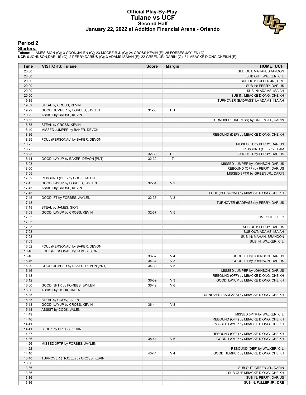#### **Official Play-By-Play Tulane vs UCF Second Half January 22, 2022 at Addition Financial Arena - Orlando**



#### **Period 2**

#### **Starters:**

Tulane: 1 JAMES,SION (G); 3 COOK,JALEN (G); 23 MCGEE,R.J. (G); 24 CROSS,KEVIN (F); 25 FORBES,JAYLEN (G);<br>**UCF**: 0 JOHNSON,DARIUS (G); 2 PERRY,DARIUS (G); 3 ADAMS,ISAIAH (F); 22 GREEN JR.,DARIN (G); 34 MBACKE DIONG,CHEIKH (

| Time           | <b>VISITORS: Tulane</b>            | <b>Score</b>   | <b>Margin</b>  | <b>HOME: UCF</b>                           |
|----------------|------------------------------------|----------------|----------------|--------------------------------------------|
| 20:00          |                                    |                |                | SUB OUT: MAHAN, BRANDON                    |
| 20:00          |                                    |                |                | SUB OUT: WALKER, C.J.                      |
| 20:00          |                                    |                |                | SUB OUT: FULLER JR., DRE                   |
| 20:00          |                                    |                |                | SUB IN: PERRY, DARIUS                      |
| 20:00          |                                    |                |                | SUB IN: ADAMS, ISAIAH                      |
| 20:00          |                                    |                |                | SUB IN: MBACKE DIONG, CHEIKH               |
| 19:39          |                                    |                |                | TURNOVER (BADPASS) by ADAMS, ISAIAH        |
| 19:39          | STEAL by CROSS, KEVIN              | 31-30          | H <sub>1</sub> |                                            |
| 19:22<br>19:22 | GOOD! JUMPER by FORBES, JAYLEN     |                |                |                                            |
| 18:55          | ASSIST by CROSS, KEVIN             |                |                | TURNOVER (BADPASS) by GREEN JR., DARIN     |
| 18:55          | STEAL by CROSS, KEVIN              |                |                |                                            |
| 18:40          | MISSED JUMPER by BAKER, DEVON      |                |                |                                            |
| 18:36          |                                    |                |                | REBOUND (DEF) by MBACKE DIONG, CHEIKH      |
| 18:25          | FOUL (PERSONAL) by BAKER, DEVON    |                |                |                                            |
| 18:25          |                                    |                |                | MISSED FT by PERRY, DARIUS                 |
| 18:25          |                                    |                |                | REBOUND (OFF) by TEAM                      |
| 18:25          |                                    | 32-30          | H <sub>2</sub> | GOOD! FT by PERRY, DARIUS                  |
| 18:14          | GOOD! LAYUP by BAKER, DEVON [PNT]  | 32-32          | Т              |                                            |
| 18:03          |                                    |                |                | MISSED JUMPER by JOHNSON, DARIUS           |
| 18:00          |                                    |                |                | REBOUND (OFF) by PERRY, DARIUS             |
| 17:55          |                                    |                |                | MISSED 3PTR by GREEN JR., DARIN            |
| 17:52          | REBOUND (DEF) by COOK, JALEN       |                |                |                                            |
| 17:45          | GOOD! LAYUP by FORBES, JAYLEN      | 32-34          | V <sub>2</sub> |                                            |
| 17:45          | ASSIST by CROSS, KEVIN             |                |                |                                            |
| 17:45<br>17:45 | GOOD! FT by FORBES, JAYLEN         | 32-35          | $V_3$          | FOUL (PERSONAL) by MBACKE DIONG, CHEIKH    |
| 17:18          |                                    |                |                | TURNOVER (BADPASS) by PERRY, DARIUS        |
| 17:18          | STEAL by JAMES, SION               |                |                |                                            |
| 17:09          | GOOD! LAYUP by CROSS, KEVIN        | 32-37          | V <sub>5</sub> |                                            |
| 17:03          |                                    |                |                | TIMEOUT 30SEC                              |
| 17:03          |                                    |                |                |                                            |
| 17:03          |                                    |                |                | SUB OUT: PERRY, DARIUS                     |
| 17:03          |                                    |                |                | SUB OUT: ADAMS, ISAIAH                     |
| 17:03          |                                    |                |                | SUB IN: MAHAN, BRANDON                     |
| 17:03          |                                    |                |                | SUB IN: WALKER, C.J.                       |
| 16:52          | FOUL (PERSONAL) by BAKER, DEVON    |                |                |                                            |
| 16:46          | FOUL (PERSONAL) by JAMES, SION     |                |                |                                            |
| 16:46          |                                    | 33-37          | V <sub>4</sub> | GOOD! FT by JOHNSON, DARIUS                |
| 16:46          |                                    | 34-37          | V <sub>3</sub> | GOOD! FT by JOHNSON, DARIUS                |
| 16:29          | GOOD! JUMPER by BAKER, DEVON [PNT] | 34-39          | V <sub>5</sub> |                                            |
| 16:16          |                                    |                |                | MISSED JUMPER by JOHNSON, DARIUS           |
| 16:13          |                                    |                |                | REBOUND (OFF) by MBACKE DIONG, CHEIKH      |
| 16:12<br>16:00 | GOOD! 3PTR by FORBES, JAYLEN       | 36-39<br>36-42 | $V_3$<br>$V_6$ | GOOD! LAYUP by MBACKE DIONG, CHEIKH        |
| 16:00          | ASSIST by COOK, JALEN              |                |                |                                            |
| 15:35          |                                    |                |                | TURNOVER (BADPASS) by MBACKE DIONG, CHEIKH |
| 15:35          | STEAL by COOK, JALEN               |                |                |                                            |
| 15:13          | GOOD! LAYUP by CROSS, KEVIN        | 36-44          | V8             |                                            |
| 15:13          | ASSIST by COOK, JALEN              |                |                |                                            |
| 14:49          |                                    |                |                | MISSED 3PTR by WALKER, C.J.                |
| 14:46          |                                    |                |                | REBOUND (OFF) by MBACKE DIONG, CHEIKH      |
| 14:41          |                                    |                |                | MISSED LAYUP by MBACKE DIONG, CHEIKH       |
| 14:41          | BLOCK by CROSS, KEVIN              |                |                |                                            |
| 14:37          |                                    |                |                | REBOUND (OFF) by MBACKE DIONG, CHEIKH      |
| 14:36          |                                    | 38-44          | $V_6$          | GOOD! LAYUP by MBACKE DIONG, CHEIKH        |
| 14:26          | MISSED 3PTR by FORBES, JAYLEN      |                |                |                                            |
| 14:22          |                                    |                |                | REBOUND (DEF) by WALKER, C.J.              |
| 14:10          |                                    | 40-44          | V <sub>4</sub> | GOOD! JUMPER by MBACKE DIONG, CHEIKH       |
| 13:40          | TURNOVER (TRAVEL) by CROSS, KEVIN  |                |                |                                            |
| 13:36          |                                    |                |                |                                            |
| 13:36          |                                    |                |                | SUB OUT: GREEN JR., DARIN                  |
| 13:36          |                                    |                |                | SUB OUT: MBACKE DIONG, CHEIKH              |
| 13:36          |                                    |                |                | SUB IN: PERRY, DARIUS                      |
| 13:36          |                                    |                |                | SUB IN: FULLER JR., DRE                    |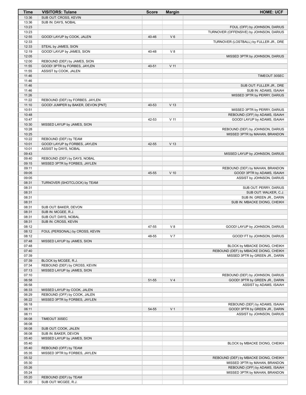| Time           | <b>VISITORS: Tulane</b>                                | <b>Score</b> | <b>Margin</b>   | <b>HOME: UCF</b>                                                       |
|----------------|--------------------------------------------------------|--------------|-----------------|------------------------------------------------------------------------|
| 13:36          | SUB OUT: CROSS, KEVIN                                  |              |                 |                                                                        |
| 13:36          | SUB IN: DAYS, NOBAL                                    |              |                 |                                                                        |
| 13:23          |                                                        |              |                 | FOUL (OFF) by JOHNSON, DARIUS                                          |
| 13:23          |                                                        |              |                 | TURNOVER (OFFENSIVE) by JOHNSON, DARIUS                                |
| 12:55          | GOOD! LAYUP by COOK, JALEN                             | 40-46        | $V_6$           |                                                                        |
| 12:33          |                                                        |              |                 | TURNOVER (LOSTBALL) by FULLER JR., DRE                                 |
| 12:33          | STEAL by JAMES, SION                                   |              |                 |                                                                        |
| 12:19<br>12:05 | GOOD! LAYUP by JAMES, SION                             | 40-48        | V8              |                                                                        |
| 12:00          | REBOUND (DEF) by JAMES, SION                           |              |                 | MISSED 3PTR by JOHNSON, DARIUS                                         |
| 11:55          | GOOD! 3PTR by FORBES, JAYLEN                           | 40-51        | V <sub>11</sub> |                                                                        |
| 11:55          | ASSIST by COOK, JALEN                                  |              |                 |                                                                        |
| 11:46          |                                                        |              |                 | TIMEOUT 30SEC                                                          |
| 11:46          |                                                        |              |                 |                                                                        |
| 11:46          |                                                        |              |                 | SUB OUT: FULLER JR., DRE                                               |
| 11:46          |                                                        |              |                 | SUB IN: ADAMS, ISAIAH                                                  |
| 11:26          |                                                        |              |                 | MISSED 3PTR by PERRY, DARIUS                                           |
| 11:22          | REBOUND (DEF) by FORBES, JAYLEN                        |              |                 |                                                                        |
| 11:10          | GOOD! JUMPER by BAKER, DEVON [PNT]                     | 40-53        | V <sub>13</sub> |                                                                        |
| 10:51          |                                                        |              |                 | MISSED 3PTR by PERRY, DARIUS                                           |
| 10:48          |                                                        |              |                 | REBOUND (OFF) by ADAMS, ISAIAH                                         |
| 10:47          |                                                        | 42-53        | $V$ 11          | GOOD! LAYUP by ADAMS, ISAIAH                                           |
| 10:30          | MISSED LAYUP by JAMES, SION                            |              |                 |                                                                        |
| 10:28          |                                                        |              |                 | REBOUND (DEF) by JOHNSON, DARIUS                                       |
| 10:25          |                                                        |              |                 | MISSED 3PTR by MAHAN, BRANDON                                          |
| 10:22          | REBOUND (DEF) by TEAM                                  |              |                 |                                                                        |
| 10:01          | GOOD! LAYUP by FORBES, JAYLEN                          | 42-55        | V <sub>13</sub> |                                                                        |
| 10:01<br>09:43 | ASSIST by DAYS, NOBAL                                  |              |                 |                                                                        |
| 09:40          | REBOUND (DEF) by DAYS, NOBAL                           |              |                 | MISSED LAYUP by JOHNSON, DARIUS                                        |
| 09:15          | MISSED 3PTR by FORBES, JAYLEN                          |              |                 |                                                                        |
| 09:11          |                                                        |              |                 | REBOUND (DEF) by MAHAN, BRANDON                                        |
| 09:05          |                                                        | 45-55        | $V$ 10          | GOOD! 3PTR by ADAMS, ISAIAH                                            |
| 09:05          |                                                        |              |                 | ASSIST by JOHNSON, DARIUS                                              |
| 08:31          | TURNOVER (SHOTCLOCK) by TEAM                           |              |                 |                                                                        |
| 08:31          |                                                        |              |                 | SUB OUT: PERRY, DARIUS                                                 |
| 08:31          |                                                        |              |                 | SUB OUT: WALKER, C.J.                                                  |
| 08:31          |                                                        |              |                 | SUB IN: GREEN JR., DARIN                                               |
| 08:31          |                                                        |              |                 | SUB IN: MBACKE DIONG, CHEIKH                                           |
| 08:31          | SUB OUT: BAKER, DEVON                                  |              |                 |                                                                        |
| 08:31          | SUB IN: MCGEE, R.J.                                    |              |                 |                                                                        |
| 08:31          | SUB OUT: DAYS, NOBAL                                   |              |                 |                                                                        |
| 08:31          | SUB IN: CROSS, KEVIN                                   |              |                 |                                                                        |
| 08:12          |                                                        | 47-55        | V8              | GOOD! LAYUP by JOHNSON, DARIUS                                         |
| 08:12          | FOUL (PERSONAL) by CROSS, KEVIN                        |              |                 |                                                                        |
| 08:12          |                                                        | 48-55        | V <sub>7</sub>  | GOOD! FT by JOHNSON, DARIUS                                            |
| 07:48          | MISSED LAYUP by JAMES, SION                            |              |                 |                                                                        |
| 07:48<br>07:40 |                                                        |              |                 | BLOCK by MBACKE DIONG, CHEIKH<br>REBOUND (DEF) by MBACKE DIONG, CHEIKH |
| 07:39          |                                                        |              |                 | MISSED 3PTR by GREEN JR., DARIN                                        |
| 07:39          | BLOCK by MCGEE, R.J.                                   |              |                 |                                                                        |
| 07:34          | REBOUND (DEF) by CROSS, KEVIN                          |              |                 |                                                                        |
| 07:13          | MISSED LAYUP by JAMES, SION                            |              |                 |                                                                        |
| 07:10          |                                                        |              |                 | REBOUND (DEF) by JOHNSON, DARIUS                                       |
| 06:58          |                                                        | 51-55        | V <sub>4</sub>  | GOOD! 3PTR by GREEN JR., DARIN                                         |
| 06:58          |                                                        |              |                 | ASSIST by ADAMS, ISAIAH                                                |
| 06:33          | MISSED LAYUP by COOK, JALEN                            |              |                 |                                                                        |
| 06:29          | REBOUND (OFF) by COOK, JALEN                           |              |                 |                                                                        |
| 06:22          | MISSED 3PTR by FORBES, JAYLEN                          |              |                 |                                                                        |
| 06:18          |                                                        |              |                 | REBOUND (DEF) by ADAMS, ISAIAH                                         |
| 06:11          |                                                        | 54-55        | V <sub>1</sub>  | GOOD! 3PTR by GREEN JR., DARIN                                         |
| 06:11          |                                                        |              |                 | ASSIST by JOHNSON, DARIUS                                              |
| 06:08          | TIMEOUT 30SEC                                          |              |                 |                                                                        |
| 06:08          |                                                        |              |                 |                                                                        |
| 06:08          | SUB OUT: COOK, JALEN                                   |              |                 |                                                                        |
| 06:08          | SUB IN: BAKER, DEVON                                   |              |                 |                                                                        |
| 05:40          | MISSED LAYUP by JAMES, SION                            |              |                 |                                                                        |
| 05:40          |                                                        |              |                 | BLOCK by MBACKE DIONG, CHEIKH                                          |
| 05:40<br>05:35 | REBOUND (OFF) by TEAM<br>MISSED 3PTR by FORBES, JAYLEN |              |                 |                                                                        |
| 05:32          |                                                        |              |                 | REBOUND (DEF) by MBACKE DIONG, CHEIKH                                  |
| 05:30          |                                                        |              |                 | MISSED 3PTR by MAHAN, BRANDON                                          |
| 05:26          |                                                        |              |                 | REBOUND (OFF) by ADAMS, ISAIAH                                         |
| 05:24          |                                                        |              |                 | MISSED 3PTR by MAHAN, BRANDON                                          |
| 05:20          | REBOUND (DEF) by TEAM                                  |              |                 |                                                                        |
| 05:20          | SUB OUT: MCGEE, R.J.                                   |              |                 |                                                                        |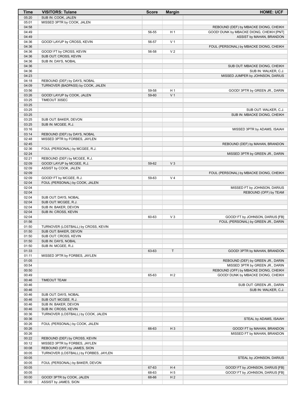| Time  | <b>VISITORS: Tulane</b>               | <b>Score</b> | <b>Margin</b>  | <b>HOME: UCF</b>                         |
|-------|---------------------------------------|--------------|----------------|------------------------------------------|
| 05:20 | SUB IN: COOK, JALEN                   |              |                |                                          |
| 05:01 | MISSED 3PTR by COOK, JALEN            |              |                |                                          |
| 04:58 |                                       |              |                | REBOUND (DEF) by MBACKE DIONG, CHEIKH    |
| 04:49 |                                       | 56-55        | H <sub>1</sub> | GOOD! DUNK by MBACKE DIONG, CHEIKH [PNT] |
| 04:49 |                                       |              |                | ASSIST by MAHAN, BRANDON                 |
| 04:36 | GOOD! LAYUP by CROSS, KEVIN           | 56-57        | V <sub>1</sub> |                                          |
| 04:36 |                                       |              |                | FOUL (PERSONAL) by MBACKE DIONG, CHEIKH  |
| 04:36 | GOOD! FT by CROSS, KEVIN              | 56-58        | V <sub>2</sub> |                                          |
| 04:36 | SUB OUT: CROSS, KEVIN                 |              |                |                                          |
| 04:36 | SUB IN: DAYS, NOBAL                   |              |                |                                          |
| 04:36 |                                       |              |                | SUB OUT: MBACKE DIONG, CHEIKH            |
| 04:36 |                                       |              |                | SUB IN: WALKER, C.J.                     |
| 04:23 |                                       |              |                | MISSED JUMPER by JOHNSON, DARIUS         |
| 04:18 | REBOUND (DEF) by DAYS, NOBAL          |              |                |                                          |
| 04:09 | TURNOVER (BADPASS) by COOK, JALEN     |              |                |                                          |
| 03:56 |                                       | 59-58        | H <sub>1</sub> | GOOD! 3PTR by GREEN JR., DARIN           |
| 03:26 | GOOD! LAYUP by COOK, JALEN            | 59-60        | V <sub>1</sub> |                                          |
| 03:25 | TIMEOUT 30SEC                         |              |                |                                          |
| 03:25 |                                       |              |                |                                          |
| 03:25 |                                       |              |                | SUB OUT: WALKER, C.J.                    |
| 03:25 |                                       |              |                | SUB IN: MBACKE DIONG, CHEIKH             |
| 03:25 | SUB OUT: BAKER, DEVON                 |              |                |                                          |
| 03:25 | SUB IN: MCGEE, R.J.                   |              |                |                                          |
| 03:16 |                                       |              |                | MISSED 3PTR by ADAMS, ISAIAH             |
| 03:14 | REBOUND (DEF) by DAYS, NOBAL          |              |                |                                          |
| 02:48 | MISSED 3PTR by FORBES, JAYLEN         |              |                |                                          |
| 02:45 |                                       |              |                | REBOUND (DEF) by MAHAN, BRANDON          |
| 02:36 | FOUL (PERSONAL) by MCGEE, R.J.        |              |                |                                          |
| 02:24 |                                       |              |                | MISSED 3PTR by GREEN JR., DARIN          |
| 02:21 | REBOUND (DEF) by MCGEE, R.J.          |              |                |                                          |
| 02:09 | GOOD! LAYUP by MCGEE, R.J.            | 59-62        | V <sub>3</sub> |                                          |
| 02:09 | ASSIST by COOK, JALEN                 |              |                |                                          |
| 02:09 |                                       |              |                |                                          |
| 02:09 |                                       | 59-63        | V <sub>4</sub> | FOUL (PERSONAL) by MBACKE DIONG, CHEIKH  |
|       | GOOD! FT by MCGEE, R.J.               |              |                |                                          |
| 02:04 | FOUL (PERSONAL) by COOK, JALEN        |              |                |                                          |
| 02:04 |                                       |              |                | MISSED FT by JOHNSON, DARIUS             |
| 02:04 |                                       |              |                | REBOUND (OFF) by TEAM                    |
| 02:04 | SUB OUT: DAYS, NOBAL                  |              |                |                                          |
| 02:04 | SUB OUT: MCGEE, R.J.                  |              |                |                                          |
| 02:04 | SUB IN: BAKER, DEVON                  |              |                |                                          |
| 02:04 | SUB IN: CROSS, KEVIN                  |              |                |                                          |
| 02:04 |                                       | 60-63        | $V_3$          | GOOD! FT by JOHNSON, DARIUS [FB]         |
| 01:56 |                                       |              |                | FOUL (PERSONAL) by GREEN JR., DARIN      |
| 01:50 | TURNOVER (LOSTBALL) by CROSS, KEVIN   |              |                |                                          |
| 01:50 | SUB OUT: BAKER, DEVON                 |              |                |                                          |
| 01:50 | SUB OUT: CROSS, KEVIN                 |              |                |                                          |
| 01:50 | SUB IN: DAYS, NOBAL                   |              |                |                                          |
| 01:50 | SUB IN: MCGEE, R.J.                   |              |                |                                          |
| 01:33 |                                       | 63-63        | T              | GOOD! 3PTR by MAHAN, BRANDON             |
| 01:11 | MISSED 3PTR by FORBES, JAYLEN         |              |                |                                          |
| 01:05 |                                       |              |                | REBOUND (DEF) by GREEN JR., DARIN        |
| 00:54 |                                       |              |                | MISSED 3PTR by GREEN JR., DARIN          |
| 00:50 |                                       |              |                | REBOUND (OFF) by MBACKE DIONG, CHEIKH    |
| 00:49 |                                       | 65-63        | H <sub>2</sub> | GOOD! DUNK by MBACKE DIONG, CHEIKH       |
| 00:46 | <b>TIMEOUT TEAM</b>                   |              |                |                                          |
| 00:46 |                                       |              |                | SUB OUT: GREEN JR., DARIN                |
| 00:46 |                                       |              |                | SUB IN: WALKER, C.J.                     |
| 00:46 | SUB OUT: DAYS, NOBAL                  |              |                |                                          |
| 00:46 | SUB OUT: MCGEE, R.J.                  |              |                |                                          |
| 00:46 | SUB IN: BAKER, DEVON                  |              |                |                                          |
| 00:46 | SUB IN: CROSS, KEVIN                  |              |                |                                          |
| 00:36 | TURNOVER (LOSTBALL) by COOK, JALEN    |              |                |                                          |
| 00:36 |                                       |              |                | STEAL by ADAMS, ISAIAH                   |
| 00:26 | FOUL (PERSONAL) by COOK, JALEN        |              |                |                                          |
| 00:26 |                                       | 66-63        | $H_3$          | GOOD! FT by MAHAN, BRANDON               |
| 00:26 |                                       |              |                | MISSED FT by MAHAN, BRANDON              |
| 00:22 | REBOUND (DEF) by CROSS, KEVIN         |              |                |                                          |
| 00:12 | MISSED 3PTR by FORBES, JAYLEN         |              |                |                                          |
| 00:08 | REBOUND (OFF) by JAMES, SION          |              |                |                                          |
| 00:05 | TURNOVER (LOSTBALL) by FORBES, JAYLEN |              |                |                                          |
| 00:05 |                                       |              |                | STEAL by JOHNSON, DARIUS                 |
| 00:05 | FOUL (PERSONAL) by BAKER, DEVON       |              |                |                                          |
| 00:05 |                                       | 67-63        | H4             | GOOD! FT by JOHNSON, DARIUS [FB]         |
| 00:05 |                                       | 68-63        | H <sub>5</sub> | GOOD! FT by JOHNSON, DARIUS [FB]         |
| 00:00 | GOOD! 3PTR by COOK, JALEN             | 68-66        | H <sub>2</sub> |                                          |
| 00:00 | ASSIST by JAMES, SION                 |              |                |                                          |
|       |                                       |              |                |                                          |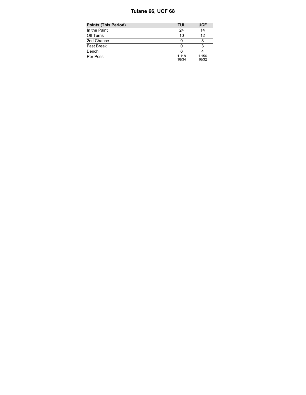#### **Tulane 66, UCF 68**

| <b>Points (This Period)</b> | TUL            | <b>UCF</b>     |
|-----------------------------|----------------|----------------|
| In the Paint                | 24             | 14             |
| Off Turns                   | 10             | 12             |
| 2nd Chance                  |                |                |
| Fast Break                  |                |                |
| Bench                       | 6              |                |
| Per Poss                    | 1.118<br>18/34 | 1.156<br>16/32 |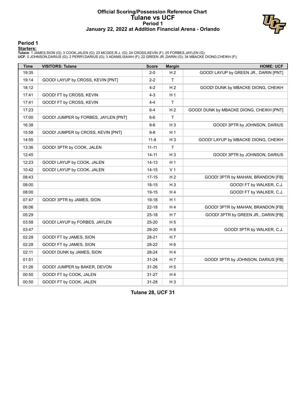#### **Official Scoring/Possession Reference Chart Tulane vs UCF Period 1 January 22, 2022 at Addition Financial Arena - Orlando**



#### **Period 1**

#### **Starters:**

Tulane: 1 JAMES,SION (G); 3 COOK,JALEN (G); 23 MCGEE,R.J. (G); 24 CROSS,KEVIN (F); 25 FORBES,JAYLEN (G);<br>**UCF**: 0 JOHNSON,DARIUS (G); 2 PERRY,DARIUS (G); 3 ADAMS,ISAIAH (F); 22 GREEN JR.,DARIN (G); 34 MBACKE DIONG,CHEIKH (

| <b>Time</b> | <b>VISITORS: Tulane</b>              | <b>Score</b> | <b>Margin</b>  | <b>HOME: UCF</b>                         |
|-------------|--------------------------------------|--------------|----------------|------------------------------------------|
| 19:35       |                                      | $2 - 0$      | H <sub>2</sub> | GOOD! LAYUP by GREEN JR., DARIN [PNT]    |
| 19:14       | GOOD! LAYUP by CROSS, KEVIN [PNT]    | $2 - 2$      | T.             |                                          |
| 18:12       |                                      | $4 - 2$      | H <sub>2</sub> | GOOD! DUNK by MBACKE DIONG, CHEIKH       |
| 17:41       | GOOD! FT by CROSS, KEVIN             | $4 - 3$      | H <sub>1</sub> |                                          |
| 17:41       | GOOD! FT by CROSS, KEVIN             | $4 - 4$      | $\mathsf{T}$   |                                          |
| 17:23       |                                      | $6 - 4$      | H <sub>2</sub> | GOOD! DUNK by MBACKE DIONG, CHEIKH [PNT] |
| 17:00       | GOOD! JUMPER by FORBES, JAYLEN [PNT] | $6-6$        | $\mathsf{T}$   |                                          |
| 16:38       |                                      | $9-6$        | $H_3$          | GOOD! 3PTR by JOHNSON, DARIUS            |
| 15:58       | GOOD! JUMPER by CROSS, KEVIN [PNT]   | $9-8$        | H <sub>1</sub> |                                          |
| 14:55       |                                      | $11 - 8$     | $H_3$          | GOOD! LAYUP by MBACKE DIONG, CHEIKH      |
| 13:36       | GOOD! 3PTR by COOK, JALEN            | $11 - 11$    | $\mathsf{T}$   |                                          |
| 12:45       |                                      | $14 - 11$    | $H_3$          | GOOD! 3PTR by JOHNSON, DARIUS            |
| 12:23       | GOOD! LAYUP by COOK, JALEN           | 14-13        | H <sub>1</sub> |                                          |
| 10:42       | GOOD! LAYUP by COOK, JALEN           | 14-15        | V <sub>1</sub> |                                          |
| 08:43       |                                      | $17 - 15$    | H <sub>2</sub> | GOOD! 3PTR by MAHAN, BRANDON [FB]        |
| 08:00       |                                      | $18 - 15$    | $H_3$          | GOOD! FT by WALKER, C.J.                 |
| 08:00       |                                      | 19-15        | H4             | GOOD! FT by WALKER, C.J.                 |
| 07:47       | GOOD! 3PTR by JAMES, SION            | 19-18        | H 1            |                                          |
| 06:06       |                                      | $22 - 18$    | H4             | GOOD! 3PTR by MAHAN, BRANDON [FB]        |
| 05:29       |                                      | $25 - 18$    | H 7            | GOOD! 3PTR by GREEN JR., DARIN [FB]      |
| 03:58       | GOOD! LAYUP by FORBES, JAYLEN        | 25-20        | H <sub>5</sub> |                                          |
| 03:47       |                                      | 28-20        | H <sub>8</sub> | GOOD! 3PTR by WALKER, C.J.               |
| 02:28       | GOOD! FT by JAMES, SION              | 28-21        | H 7            |                                          |
| 02:28       | GOOD! FT by JAMES, SION              | 28-22        | H <sub>6</sub> |                                          |
| 02:11       | GOOD! DUNK by JAMES, SION            | 28-24        | H 4            |                                          |
| 01:51       |                                      | $31 - 24$    | H 7            | GOOD! 3PTR by JOHNSON, DARIUS [FB]       |
| 01:26       | GOOD! JUMPER by BAKER, DEVON         | 31-26        | H <sub>5</sub> |                                          |
| 00:50       | GOOD! FT by COOK, JALEN              | $31 - 27$    | H 4            |                                          |
| 00:50       | GOOD! FT by COOK, JALEN              | 31-28        | H <sub>3</sub> |                                          |

**Tulane 28, UCF 31**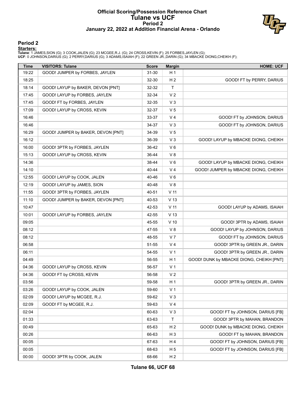#### **Official Scoring/Possession Reference Chart Tulane vs UCF Period 2 January 22, 2022 at Addition Financial Arena - Orlando**



#### **Period 2**

#### **Starters:**

Tulane: 1 JAMES,SION (G); 3 COOK,JALEN (G); 23 MCGEE,R.J. (G); 24 CROSS,KEVIN (F); 25 FORBES,JAYLEN (G);<br>**UCF**: 0 JOHNSON,DARIUS (G); 2 PERRY,DARIUS (G); 3 ADAMS,ISAIAH (F); 22 GREEN JR.,DARIN (G); 34 MBACKE DIONG,CHEIKH (

| <b>Time</b> | <b>VISITORS: Tulane</b>            | <b>Score</b> | <b>Margin</b>   | <b>HOME: UCF</b>                         |
|-------------|------------------------------------|--------------|-----------------|------------------------------------------|
| 19:22       | GOOD! JUMPER by FORBES, JAYLEN     | 31-30        | H <sub>1</sub>  |                                          |
| 18:25       |                                    | 32-30        | H <sub>2</sub>  | GOOD! FT by PERRY, DARIUS                |
| 18:14       | GOOD! LAYUP by BAKER, DEVON [PNT]  | 32-32        | $\mathsf{T}$    |                                          |
| 17:45       | GOOD! LAYUP by FORBES, JAYLEN      | 32-34        | V <sub>2</sub>  |                                          |
| 17:45       | GOOD! FT by FORBES, JAYLEN         | 32-35        | $V_3$           |                                          |
| 17:09       | GOOD! LAYUP by CROSS, KEVIN        | 32-37        | V <sub>5</sub>  |                                          |
| 16:46       |                                    | 33-37        | V <sub>4</sub>  | GOOD! FT by JOHNSON, DARIUS              |
| 16:46       |                                    | 34-37        | V <sub>3</sub>  | GOOD! FT by JOHNSON, DARIUS              |
| 16:29       | GOOD! JUMPER by BAKER, DEVON [PNT] | 34-39        | V <sub>5</sub>  |                                          |
| 16:12       |                                    | 36-39        | V <sub>3</sub>  | GOOD! LAYUP by MBACKE DIONG, CHEIKH      |
| 16:00       | GOOD! 3PTR by FORBES, JAYLEN       | 36-42        | $V_6$           |                                          |
| 15:13       | GOOD! LAYUP by CROSS, KEVIN        | 36-44        | V8              |                                          |
| 14:36       |                                    | 38-44        | $V_6$           | GOOD! LAYUP by MBACKE DIONG, CHEIKH      |
| 14:10       |                                    | 40-44        | V <sub>4</sub>  | GOOD! JUMPER by MBACKE DIONG, CHEIKH     |
| 12:55       | GOOD! LAYUP by COOK, JALEN         | 40-46        | $V_6$           |                                          |
| 12:19       | GOOD! LAYUP by JAMES, SION         | 40-48        | V8              |                                          |
| 11:55       | GOOD! 3PTR by FORBES, JAYLEN       | 40-51        | $V$ 11          |                                          |
| 11:10       | GOOD! JUMPER by BAKER, DEVON [PNT] | 40-53        | V <sub>13</sub> |                                          |
| 10:47       |                                    | 42-53        | $V$ 11          | GOOD! LAYUP by ADAMS, ISAIAH             |
| 10:01       | GOOD! LAYUP by FORBES, JAYLEN      | 42-55        | V <sub>13</sub> |                                          |
| 09:05       |                                    | 45-55        | $V$ 10          | GOOD! 3PTR by ADAMS, ISAIAH              |
| 08:12       |                                    | 47-55        | V8              | GOOD! LAYUP by JOHNSON, DARIUS           |
| 08:12       |                                    | 48-55        | V <sub>7</sub>  | GOOD! FT by JOHNSON, DARIUS              |
| 06:58       |                                    | 51-55        | V <sub>4</sub>  | GOOD! 3PTR by GREEN JR., DARIN           |
| 06:11       |                                    | 54-55        | V <sub>1</sub>  | GOOD! 3PTR by GREEN JR., DARIN           |
| 04:49       |                                    | 56-55        | H <sub>1</sub>  | GOOD! DUNK by MBACKE DIONG, CHEIKH [PNT] |
| 04:36       | GOOD! LAYUP by CROSS, KEVIN        | 56-57        | V <sub>1</sub>  |                                          |
| 04:36       | GOOD! FT by CROSS, KEVIN           | 56-58        | V <sub>2</sub>  |                                          |
| 03:56       |                                    | 59-58        | H <sub>1</sub>  | GOOD! 3PTR by GREEN JR., DARIN           |
| 03:26       | GOOD! LAYUP by COOK, JALEN         | 59-60        | V <sub>1</sub>  |                                          |
| 02:09       | GOOD! LAYUP by MCGEE, R.J.         | 59-62        | V <sub>3</sub>  |                                          |
| 02:09       | GOOD! FT by MCGEE, R.J.            | 59-63        | V <sub>4</sub>  |                                          |
| 02:04       |                                    | 60-63        | $V_3$           | GOOD! FT by JOHNSON, DARIUS [FB]         |
| 01:33       |                                    | 63-63        | Τ               | GOOD! 3PTR by MAHAN, BRANDON             |
| 00:49       |                                    | 65-63        | H <sub>2</sub>  | GOOD! DUNK by MBACKE DIONG, CHEIKH       |
| 00:26       |                                    | 66-63        | H <sub>3</sub>  | GOOD! FT by MAHAN, BRANDON               |
| 00:05       |                                    | 67-63        | H 4             | GOOD! FT by JOHNSON, DARIUS [FB]         |
| 00:05       |                                    | 68-63        | H <sub>5</sub>  | GOOD! FT by JOHNSON, DARIUS [FB]         |
| 00:00       | GOOD! 3PTR by COOK, JALEN          | 68-66        | H <sub>2</sub>  |                                          |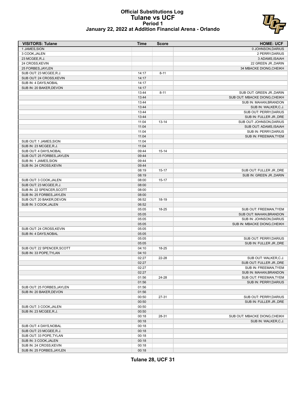#### **Official Substitutions Log Tulane vs UCF Period 1 January 22, 2022 at Addition Financial Arena - Orlando**



| <b>VISITORS: Tulane</b>    | Time  | <b>Score</b> | <b>HOME: UCF</b>              |
|----------------------------|-------|--------------|-------------------------------|
| 1 JAMES, SION              |       |              | 0 JOHNSON, DARIUS             |
| 3 COOK, JALEN              |       |              | 2 PERRY, DARIUS               |
| 23 MCGEE, R.J.             |       |              | 3 ADAMS, ISAIAH               |
| 24 CROSS, KEVIN            |       |              | 22 GREEN JR., DARIN           |
| 25 FORBES, JAYLEN          |       |              | 34 MBACKE DIONG, CHEIKH       |
| SUB OUT: 23 MCGEE, R.J.    | 14:17 | $8 - 11$     |                               |
| SUB OUT: 24 CROSS, KEVIN   | 14:17 |              |                               |
| SUB IN: 4 DAYS, NOBAL      | 14:17 |              |                               |
|                            |       |              |                               |
| SUB IN: 20 BAKER, DEVON    | 14:17 |              |                               |
|                            | 13:44 | $8 - 11$     | SUB OUT: GREEN JR., DARIN     |
|                            | 13:44 |              | SUB OUT: MBACKE DIONG, CHEIKH |
|                            | 13:44 |              | SUB IN: MAHAN, BRANDON        |
|                            | 13:44 |              | SUB IN: WALKER, C.J.          |
|                            | 13:44 |              | SUB OUT: PERRY, DARIUS        |
|                            | 13:44 |              | SUB IN: FULLER JR., DRE       |
|                            | 11:04 | $13 - 14$    | SUB OUT: JOHNSON, DARIUS      |
|                            | 11:04 |              | SUB OUT: ADAMS, ISAIAH        |
|                            | 11:04 |              | SUB IN: PERRY, DARIUS         |
|                            | 11:04 |              | SUB IN: FREEMAN, TYEM         |
| SUB OUT: 1 JAMES SION      | 11:04 |              |                               |
| SUB IN: 23 MCGEE, R.J.     | 11:04 |              |                               |
| SUB OUT: 4 DAYS, NOBAL     | 09:44 | $15 - 14$    |                               |
|                            | 09:44 |              |                               |
| SUB OUT: 25 FORBES, JAYLEN |       |              |                               |
| SUB IN: 1 JAMES.SION       | 09:44 |              |                               |
| SUB IN: 24 CROSS, KEVIN    | 09:44 |              |                               |
|                            | 08:19 | $15 - 17$    | SUB OUT: FULLER JR., DRE      |
|                            | 08:19 |              | SUB IN: GREEN JR., DARIN      |
| SUB OUT: 3 COOK, JALEN     | 08:00 | $15 - 17$    |                               |
| SUB OUT: 23 MCGEE, R.J.    | 08:00 |              |                               |
| SUB IN: 22 SPENCER, SCOTT  | 08:00 |              |                               |
| SUB IN: 25 FORBES, JAYLEN  | 08:00 |              |                               |
| SUB OUT: 20 BAKER, DEVON   | 06:52 | 18-19        |                               |
| SUB IN: 3 COOK, JALEN      | 06:52 |              |                               |
|                            | 05:05 | 18-25        | SUB OUT: FREEMAN, TYEM        |
|                            | 05:05 |              | SUB OUT: MAHAN, BRANDON       |
|                            | 05:05 |              | SUB IN: JOHNSON, DARIUS       |
|                            | 05:05 |              | SUB IN: MBACKE DIONG, CHEIKH  |
| SUB OUT: 24 CROSS, KEVIN   | 05:05 |              |                               |
| SUB IN: 4 DAYS, NOBAL      | 05:05 |              |                               |
|                            | 05:05 |              | SUB OUT: PERRY, DARIUS        |
|                            | 05:05 |              | SUB IN: FULLER JR., DRE       |
| SUB OUT: 22 SPENCER, SCOTT | 04:10 | 18-25        |                               |
| SUB IN: 33 POPE, TYLAN     | 04:10 |              |                               |
|                            | 02:27 | 22-28        | SUB OUT: WALKER, C.J.         |
|                            | 02:27 |              | SUB OUT: FULLER JR., DRE      |
|                            |       |              |                               |
|                            | 02:27 |              | SUB IN: FREEMAN, TYEM         |
|                            | 02:27 |              | SUB IN: MAHAN, BRANDON        |
|                            | 01:56 | 24-28        | SUB OUT: FREEMAN, TYEM        |
|                            | 01:56 |              | SUB IN: PERRY, DARIUS         |
| SUB OUT: 25 FORBES, JAYLEN | 01:56 |              |                               |
| SUB IN: 20 BAKER, DEVON    | 01:56 |              |                               |
|                            | 00:50 | 27-31        | SUB OUT: PERRY, DARIUS        |
|                            | 00:50 |              | SUB IN: FULLER JR., DRE       |
| SUB OUT: 3 COOK, JALEN     | 00:50 |              |                               |
| SUB IN: 23 MCGEE, R.J.     | 00:50 |              |                               |
|                            | 00:18 | 28-31        | SUB OUT: MBACKE DIONG, CHEIKH |
|                            | 00:18 |              | SUB IN: WALKER, C.J.          |
| SUB OUT: 4 DAYS, NOBAL     | 00:18 |              |                               |
| SUB OUT: 23 MCGEE, R.J.    | 00:18 |              |                               |
| SUB OUT: 33 POPE, TYLAN    | 00:18 |              |                               |
| SUB IN: 3 COOK, JALEN      | 00:18 |              |                               |
| SUB IN: 24 CROSS, KEVIN    | 00:18 |              |                               |
| SUB IN: 25 FORBES, JAYLEN  | 00:18 |              |                               |